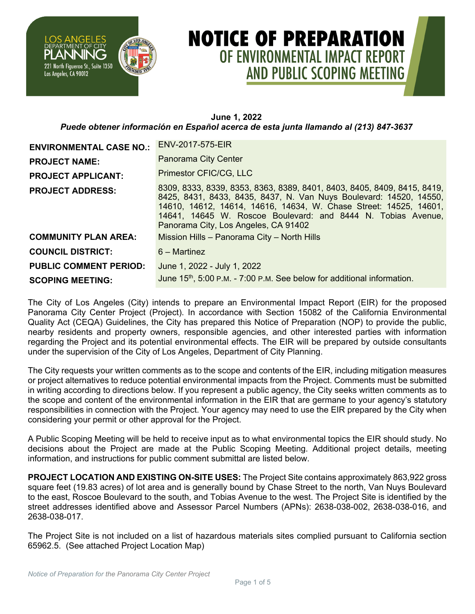

## **NOTICE OF PREPARATION** OF ENVIRONMENTAL IMPACT REPORT **AND PUBLIC SCOPING MEETING**

## **June 1, 2022** *Puede obtener información en Español acerca de esta junta llamando al (213) 847-3637*

| <b>ENVIRONMENTAL CASE NO.:</b> | ENV-2017-575-EIR                                                                                                                                                                                                                                                                                                           |  |  |
|--------------------------------|----------------------------------------------------------------------------------------------------------------------------------------------------------------------------------------------------------------------------------------------------------------------------------------------------------------------------|--|--|
| <b>PROJECT NAME:</b>           | Panorama City Center                                                                                                                                                                                                                                                                                                       |  |  |
| <b>PROJECT APPLICANT:</b>      | Primestor CFIC/CG, LLC                                                                                                                                                                                                                                                                                                     |  |  |
| <b>PROJECT ADDRESS:</b>        | 8309, 8333, 8339, 8353, 8363, 8389, 8401, 8403, 8405, 8409, 8415, 8419,<br>8425, 8431, 8433, 8435, 8437, N. Van Nuys Boulevard: 14520, 14550,<br>14610, 14612, 14614, 14616, 14634, W. Chase Street: 14525, 14601,<br>14641, 14645 W. Roscoe Boulevard: and 8444 N. Tobias Avenue,<br>Panorama City, Los Angeles, CA 91402 |  |  |
| <b>COMMUNITY PLAN AREA:</b>    | Mission Hills - Panorama City - North Hills                                                                                                                                                                                                                                                                                |  |  |
| <b>COUNCIL DISTRICT:</b>       | $6 -$ Martinez                                                                                                                                                                                                                                                                                                             |  |  |
| <b>PUBLIC COMMENT PERIOD:</b>  | June 1, 2022 - July 1, 2022                                                                                                                                                                                                                                                                                                |  |  |
| <b>SCOPING MEETING:</b>        | June 15 <sup>th</sup> , 5:00 P.M. - 7:00 P.M. See below for additional information.                                                                                                                                                                                                                                        |  |  |

The City of Los Angeles (City) intends to prepare an Environmental Impact Report (EIR) for the proposed Panorama City Center Project (Project). In accordance with Section 15082 of the California Environmental Quality Act (CEQA) Guidelines, the City has prepared this Notice of Preparation (NOP) to provide the public, nearby residents and property owners, responsible agencies, and other interested parties with information regarding the Project and its potential environmental effects. The EIR will be prepared by outside consultants under the supervision of the City of Los Angeles, Department of City Planning.

The City requests your written comments as to the scope and contents of the EIR, including mitigation measures or project alternatives to reduce potential environmental impacts from the Project. Comments must be submitted in writing according to directions below. If you represent a public agency, the City seeks written comments as to the scope and content of the environmental information in the EIR that are germane to your agency's statutory responsibilities in connection with the Project. Your agency may need to use the EIR prepared by the City when considering your permit or other approval for the Project.

A Public Scoping Meeting will be held to receive input as to what environmental topics the EIR should study. No decisions about the Project are made at the Public Scoping Meeting. Additional project details, meeting information, and instructions for public comment submittal are listed below.

**PROJECT LOCATION AND EXISTING ON-SITE USES:** The Project Site contains approximately 863,922 gross square feet (19.83 acres) of lot area and is generally bound by Chase Street to the north, Van Nuys Boulevard to the east, Roscoe Boulevard to the south, and Tobias Avenue to the west. The Project Site is identified by the street addresses identified above and Assessor Parcel Numbers (APNs): 2638-038-002, 2638-038-016, and 2638-038-017.

The Project Site is not included on a list of hazardous materials sites complied pursuant to California section 65962.5. (See attached Project Location Map)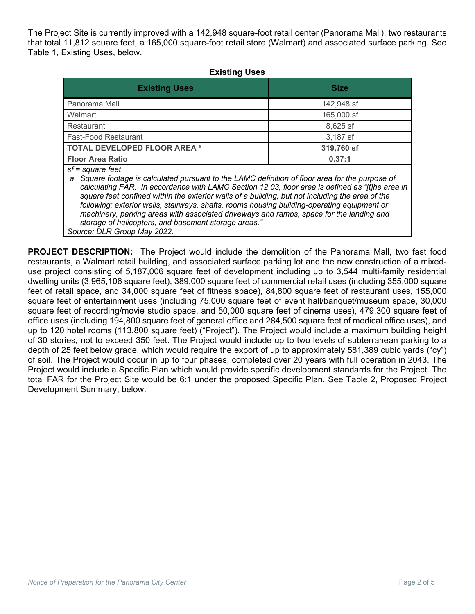The Project Site is currently improved with a 142,948 square-foot retail center (Panorama Mall), two restaurants that total 11,812 square feet, a 165,000 square-foot retail store (Walmart) and associated surface parking. See Table 1, Existing Uses, below.

| <b>Existing Uses</b>                                                                                                                                                                                                                                                                                                                                                                                                                                                                                                                                                           |             |  |  |
|--------------------------------------------------------------------------------------------------------------------------------------------------------------------------------------------------------------------------------------------------------------------------------------------------------------------------------------------------------------------------------------------------------------------------------------------------------------------------------------------------------------------------------------------------------------------------------|-------------|--|--|
| <b>Existing Uses</b>                                                                                                                                                                                                                                                                                                                                                                                                                                                                                                                                                           | <b>Size</b> |  |  |
| Panorama Mall                                                                                                                                                                                                                                                                                                                                                                                                                                                                                                                                                                  | 142,948 sf  |  |  |
| Walmart                                                                                                                                                                                                                                                                                                                                                                                                                                                                                                                                                                        | 165,000 sf  |  |  |
| Restaurant                                                                                                                                                                                                                                                                                                                                                                                                                                                                                                                                                                     | 8,625 sf    |  |  |
| <b>Fast-Food Restaurant</b>                                                                                                                                                                                                                                                                                                                                                                                                                                                                                                                                                    | 3,187 sf    |  |  |
| <b>TOTAL DEVELOPED FLOOR AREA a</b>                                                                                                                                                                                                                                                                                                                                                                                                                                                                                                                                            | 319,760 sf  |  |  |
| <b>Floor Area Ratio</b>                                                                                                                                                                                                                                                                                                                                                                                                                                                                                                                                                        | 0.37:1      |  |  |
| sf = square feet<br>Square footage is calculated pursuant to the LAMC definition of floor area for the purpose of<br>a<br>calculating FAR. In accordance with LAMC Section 12.03, floor area is defined as "[t]he area in<br>square feet confined within the exterior walls of a building, but not including the area of the<br>following: exterior walls, stairways, shafts, rooms housing building-operating equipment or<br>machinery, parking areas with associated driveways and ramps, space for the landing and<br>storage of helicopters, and basement storage areas." |             |  |  |

**PROJECT DESCRIPTION:** The Project would include the demolition of the Panorama Mall, two fast food restaurants, a Walmart retail building, and associated surface parking lot and the new construction of a mixeduse project consisting of 5,187,006 square feet of development including up to 3,544 multi-family residential dwelling units (3,965,106 square feet), 389,000 square feet of commercial retail uses (including 355,000 square feet of retail space, and 34,000 square feet of fitness space), 84,800 square feet of restaurant uses, 155,000 square feet of entertainment uses (including 75,000 square feet of event hall/banquet/museum space, 30,000 square feet of recording/movie studio space, and 50,000 square feet of cinema uses), 479,300 square feet of office uses (including 194,800 square feet of general office and 284,500 square feet of medical office uses), and up to 120 hotel rooms (113,800 square feet) ("Project"). The Project would include a maximum building height of 30 stories, not to exceed 350 feet. The Project would include up to two levels of subterranean parking to a depth of 25 feet below grade, which would require the export of up to approximately 581,389 cubic yards ("cy") of soil. The Project would occur in up to four phases, completed over 20 years with full operation in 2043. The Project would include a Specific Plan which would provide specific development standards for the Project. The total FAR for the Project Site would be 6:1 under the proposed Specific Plan. See Table 2, Proposed Project Development Summary, below.

*Source: DLR Group May 2022.*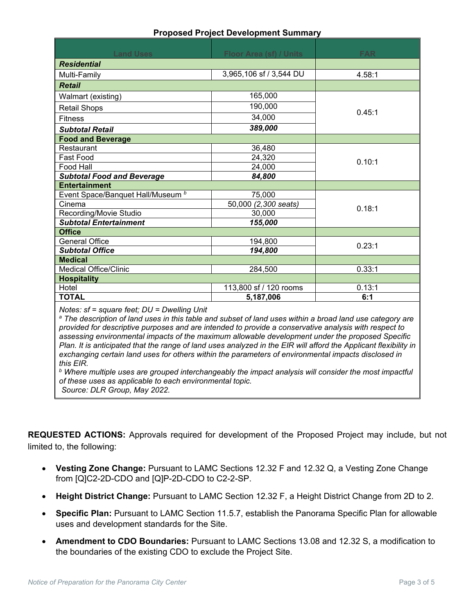| <b>Proposed Project Development Summary</b> |  |
|---------------------------------------------|--|
|---------------------------------------------|--|

| <b>Land Uses</b>                             | Floor Area (sf) / Units | <b>FAR</b> |  |
|----------------------------------------------|-------------------------|------------|--|
| <b>Residential</b>                           |                         |            |  |
| Multi-Family                                 | 3,965,106 sf / 3,544 DU | 4.58:1     |  |
| <b>Retail</b>                                |                         |            |  |
| Walmart (existing)                           | 165,000                 |            |  |
| <b>Retail Shops</b>                          | 190,000                 |            |  |
| <b>Fitness</b>                               | 34,000                  | 0.45:1     |  |
| <b>Subtotal Retail</b>                       | 389,000                 |            |  |
| <b>Food and Beverage</b>                     |                         |            |  |
| Restaurant                                   | 36,480                  |            |  |
| <b>Fast Food</b>                             | 24,320                  |            |  |
| Food Hall                                    | 24,000                  | 0.10:1     |  |
| <b>Subtotal Food and Beverage</b>            | 84,800                  |            |  |
| <b>Entertainment</b>                         |                         |            |  |
| Event Space/Banquet Hall/Museum <sup>b</sup> | 75,000                  |            |  |
| Cinema                                       | 50,000 (2,300 seats)    |            |  |
| Recording/Movie Studio                       | 30,000                  | 0.18:1     |  |
| <b>Subtotal Entertainment</b>                | 155,000                 |            |  |
| <b>Office</b>                                |                         |            |  |
| <b>General Office</b>                        | 194,800                 | 0.23:1     |  |
| <b>Subtotal Office</b>                       | 194,800                 |            |  |
| <b>Medical</b>                               |                         |            |  |
| <b>Medical Office/Clinic</b>                 | 284,500                 | 0.33:1     |  |
| <b>Hospitality</b>                           |                         |            |  |
| Hotel                                        | 113,800 sf / 120 rooms  | 0.13:1     |  |
| <b>TOTAL</b>                                 | 5,187,006               | 6:1        |  |
| Notes: sf = square feet; DU = Dwelling Unit  |                         |            |  |

*<sup>a</sup> The description of land uses in this table and subset of land uses within a broad land use category are provided for descriptive purposes and are intended to provide a conservative analysis with respect to assessing environmental impacts of the maximum allowable development under the proposed Specific Plan. It is anticipated that the range of land uses analyzed in the EIR will afford the Applicant flexibility in exchanging certain land uses for others within the parameters of environmental impacts disclosed in this EIR.* 

*<sup>b</sup> Where multiple uses are grouped interchangeably the impact analysis will consider the most impactful of these uses as applicable to each environmental topic.* 

*Source: DLR Group, May 2022.*

**REQUESTED ACTIONS:** Approvals required for development of the Proposed Project may include, but not limited to, the following:

- **Vesting Zone Change:** Pursuant to LAMC Sections 12.32 F and 12.32 Q, a Vesting Zone Change from [Q]C2-2D-CDO and [Q]P-2D-CDO to C2-2-SP.
- **Height District Change:** Pursuant to LAMC Section 12.32 F, a Height District Change from 2D to 2.
- **Specific Plan:** Pursuant to LAMC Section 11.5.7, establish the Panorama Specific Plan for allowable uses and development standards for the Site.
- **Amendment to CDO Boundaries:** Pursuant to LAMC Sections 13.08 and 12.32 S, a modification to the boundaries of the existing CDO to exclude the Project Site.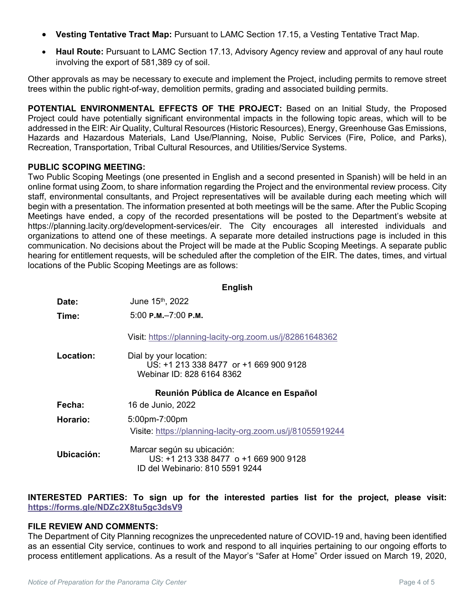- **Vesting Tentative Tract Map:** Pursuant to LAMC Section 17.15, a Vesting Tentative Tract Map.
- **Haul Route:** Pursuant to LAMC Section 17.13, Advisory Agency review and approval of any haul route involving the export of 581,389 cy of soil.

Other approvals as may be necessary to execute and implement the Project, including permits to remove street trees within the public right-of-way, demolition permits, grading and associated building permits.

**POTENTIAL ENVIRONMENTAL EFFECTS OF THE PROJECT:** Based on an Initial Study, the Proposed Project could have potentially significant environmental impacts in the following topic areas, which will to be addressed in the EIR: Air Quality, Cultural Resources (Historic Resources), Energy, Greenhouse Gas Emissions, Hazards and Hazardous Materials, Land Use/Planning, Noise, Public Services (Fire, Police, and Parks), Recreation, Transportation, Tribal Cultural Resources, and Utilities/Service Systems.

## **PUBLIC SCOPING MEETING:**

Two Public Scoping Meetings (one presented in English and a second presented in Spanish) will be held in an online format using Zoom, to share information regarding the Project and the environmental review process. City staff, environmental consultants, and Project representatives will be available during each meeting which will begin with a presentation. The information presented at both meetings will be the same. After the Public Scoping Meetings have ended, a copy of the recorded presentations will be posted to the Department's website at https://planning.lacity.org/development-services/eir. The City encourages all interested individuals and organizations to attend one of these meetings. A separate more detailed instructions page is included in this communication. No decisions about the Project will be made at the Public Scoping Meetings. A separate public hearing for entitlement requests, will be scheduled after the completion of the EIR. The dates, times, and virtual locations of the Public Scoping Meetings are as follows:

|            | <b>English</b>                                                                                         |
|------------|--------------------------------------------------------------------------------------------------------|
| Date:      | June 15th, 2022                                                                                        |
| Time:      | $5:00$ P.M. $-7:00$ P.M.                                                                               |
|            | Visit: https://planning-lacity-org.zoom.us/j/82861648362                                               |
| Location:  | Dial by your location:<br>US: +1 213 338 8477 or +1 669 900 9128<br>Webinar ID: 828 6164 8362          |
|            | Reunión Pública de Alcance en Español                                                                  |
| Fecha:     | 16 de Junio, 2022                                                                                      |
| Horario:   | 5:00pm-7:00pm                                                                                          |
|            | Visite: https://planning-lacity-org.zoom.us/j/81055919244                                              |
| Ubicación: | Marcar según su ubicación:<br>US: +1 213 338 8477 o +1 669 900 9128<br>ID del Webinario: 810 5591 9244 |

**INTERESTED PARTIES: To sign up for the interested parties list for the project, please visit: <https://forms.gle/NDZc2X8tu5gc3dsV9>**

## **FILE REVIEW AND COMMENTS:**

The Department of City Planning recognizes the unprecedented nature of COVID-19 and, having been identified as an essential City service, continues to work and respond to all inquiries pertaining to our ongoing efforts to process entitlement applications. As a result of the Mayor's "Safer at Home" Order issued on March 19, 2020,